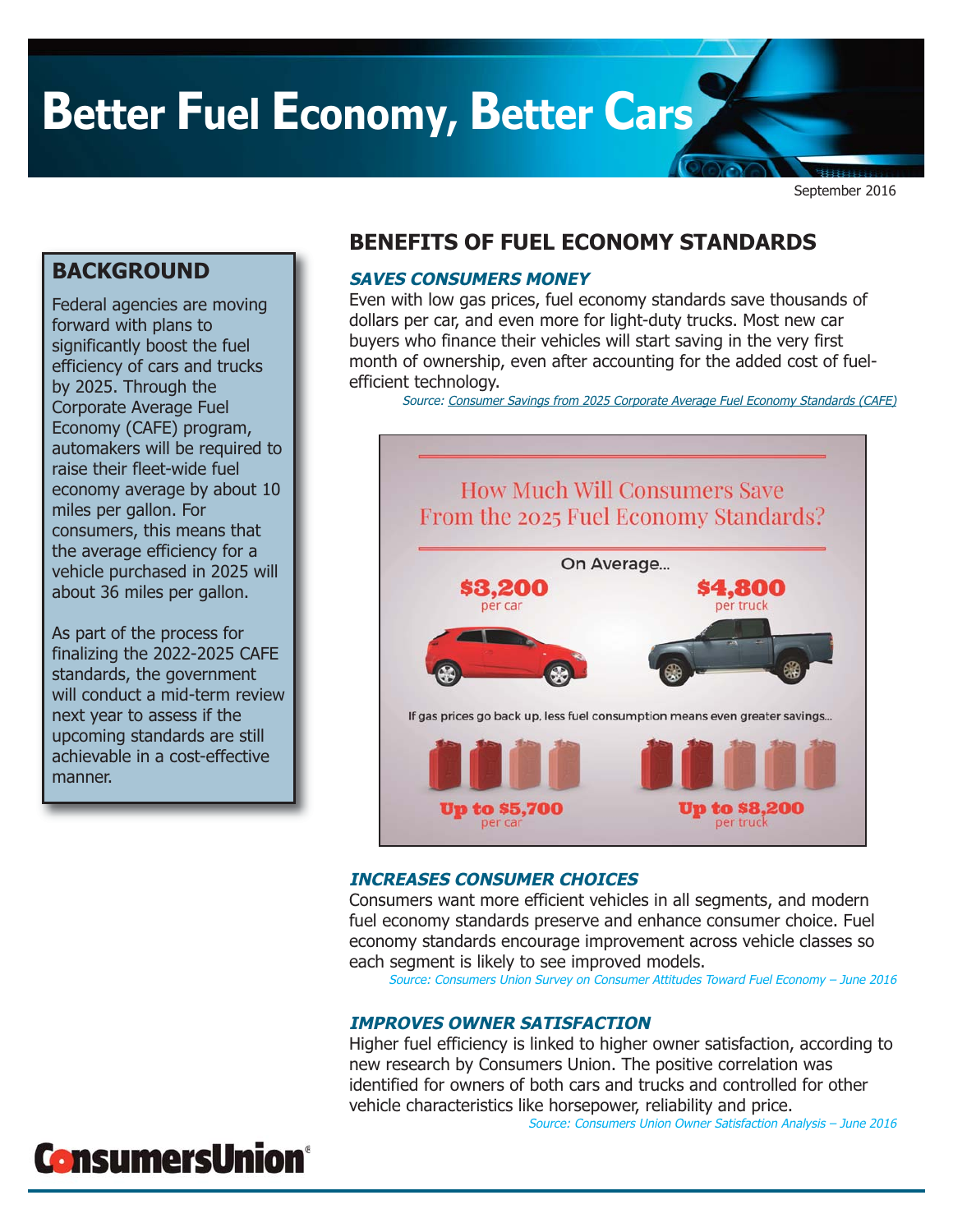# **Better Fuel Economy, Better Cars**

September 2016

## **BACKGROUND**

Federal agencies are moving forward with plans to significantly boost the fuel efficiency of cars and trucks by 2025. Through the Corporate Average Fuel Economy (CAFE) program, automakers will be required to raise their fleet-wide fuel economy average by about 10 miles per gallon. For consumers, this means that the average efficiency for a vehicle purchased in 2025 will about 36 miles per gallon.

As part of the process for finalizing the 2022-2025 CAFE standards, the government will conduct a mid-term review next year to assess if the upcoming standards are still achievable in a cost-effective manner.

# **BENEFITS OF FUEL ECONOMY STANDARDS**

### **SAVES CONSUMERS MONEY**

Even with low gas prices, fuel economy standards save thousands of dollars per car, and even more for light-duty trucks. Most new car buyers who finance their vehicles will start saving in the very first month of ownership, even after accounting for the added cost of fuelefficient technology.

[Source: Consumer Savings from 2025 Corporate Average Fuel Economy Standards \(CAFE\)](http://consumersunion.org/news/fuel-economy-savings-report/)



### **INCREASES CONSUMER CHOICES**

Consumers want more efficient vehicles in all segments, and modern fuel economy standards preserve and enhance consumer choice. Fuel economy standards encourage improvement across vehicle classes so each segment is likely to see improved models.

Source: Consumers Union Survey on Consumer Attitudes Toward Fuel Economy – June 2016

### **IMPROVES OWNER SATISFACTION**

Higher fuel efficiency is linked to higher owner satisfaction, according to new research by Consumers Union. The positive correlation was identified for owners of both cars and trucks and controlled for other vehicle characteristics like horsepower, reliability and price. Source: Consumers Union Owner Satisfaction Analysis – June 2016

# **ConsumersUnion®**